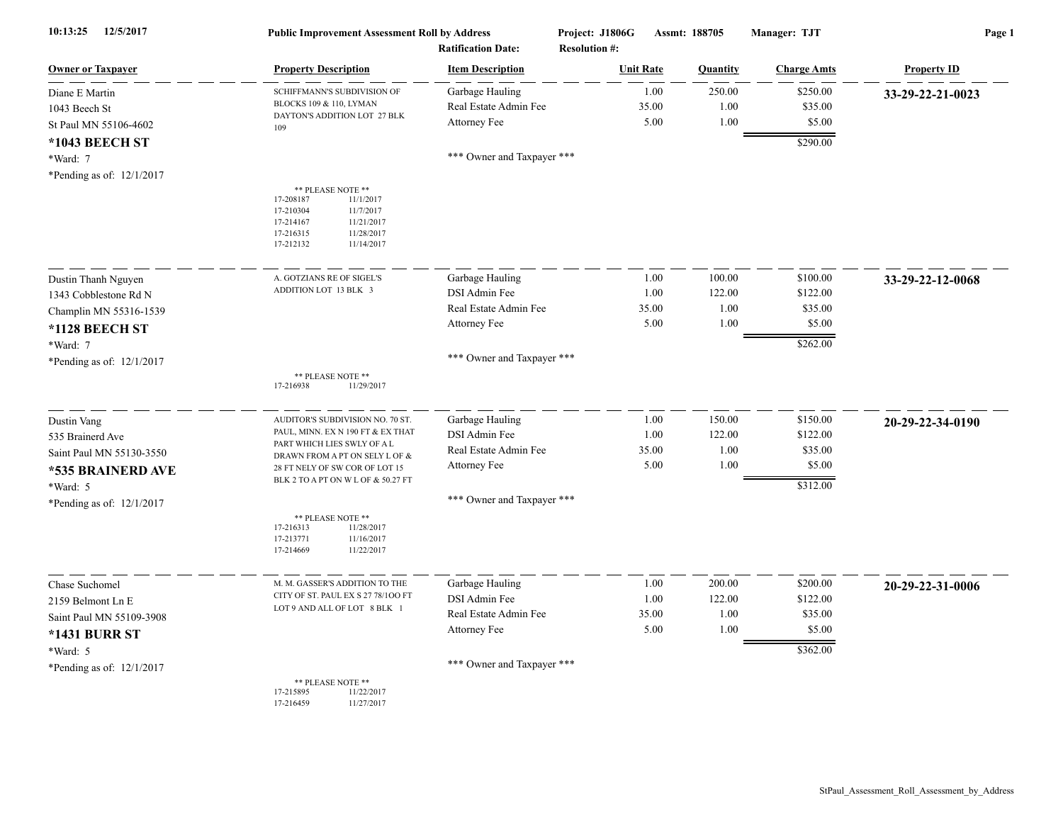| 10:13:25<br>12/5/2017       | <b>Public Improvement Assessment Roll by Address</b><br><b>Ratification Date:</b>                                                                      |                            | Project: J1806G<br>Assmt: 188705<br><b>Resolution #:</b> |          | Manager: TJT       | Page 1             |  |
|-----------------------------|--------------------------------------------------------------------------------------------------------------------------------------------------------|----------------------------|----------------------------------------------------------|----------|--------------------|--------------------|--|
| <b>Owner or Taxpayer</b>    | <b>Property Description</b>                                                                                                                            | <b>Item Description</b>    | <b>Unit Rate</b>                                         | Quantity | <b>Charge Amts</b> | <b>Property ID</b> |  |
| Diane E Martin              | SCHIFFMANN'S SUBDIVISION OF                                                                                                                            | Garbage Hauling            | 1.00                                                     | 250.00   | \$250.00           | 33-29-22-21-0023   |  |
| 1043 Beech St               | BLOCKS 109 & 110, LYMAN<br>DAYTON'S ADDITION LOT 27 BLK                                                                                                | Real Estate Admin Fee      | 35.00                                                    | 1.00     | \$35.00            |                    |  |
| St Paul MN 55106-4602       | 109                                                                                                                                                    | Attorney Fee               | 5.00                                                     | 1.00     | \$5.00             |                    |  |
| *1043 BEECH ST              |                                                                                                                                                        |                            |                                                          |          | \$290.00           |                    |  |
| *Ward: 7                    |                                                                                                                                                        | *** Owner and Taxpayer *** |                                                          |          |                    |                    |  |
| *Pending as of: $12/1/2017$ |                                                                                                                                                        |                            |                                                          |          |                    |                    |  |
|                             | ** PLEASE NOTE **<br>17-208187<br>11/1/2017<br>17-210304<br>11/7/2017<br>11/21/2017<br>17-214167<br>17-216315<br>11/28/2017<br>17-212132<br>11/14/2017 |                            |                                                          |          |                    |                    |  |
| Dustin Thanh Nguyen         | A. GOTZIANS RE OF SIGEL'S                                                                                                                              | Garbage Hauling            | 1.00                                                     | 100.00   | \$100.00           | 33-29-22-12-0068   |  |
| 1343 Cobblestone Rd N       | ADDITION LOT 13 BLK 3                                                                                                                                  | DSI Admin Fee              | 1.00                                                     | 122.00   | \$122.00           |                    |  |
| Champlin MN 55316-1539      |                                                                                                                                                        | Real Estate Admin Fee      | 35.00                                                    | 1.00     | \$35.00            |                    |  |
| *1128 BEECH ST              |                                                                                                                                                        | Attorney Fee               | 5.00                                                     | 1.00     | \$5.00             |                    |  |
| $*Ward: 7$                  |                                                                                                                                                        |                            |                                                          |          | \$262.00           |                    |  |
| *Pending as of: 12/1/2017   |                                                                                                                                                        | *** Owner and Taxpayer *** |                                                          |          |                    |                    |  |
|                             | ** PLEASE NOTE **<br>17-216938<br>11/29/2017                                                                                                           |                            |                                                          |          |                    |                    |  |
| Dustin Vang                 | AUDITOR'S SUBDIVISION NO. 70 ST                                                                                                                        | Garbage Hauling            | 1.00                                                     | 150.00   | \$150.00           | 20-29-22-34-0190   |  |
| 535 Brainerd Ave            | PAUL, MINN. EX N 190 FT & EX THAT                                                                                                                      | DSI Admin Fee              | 1.00                                                     | 122.00   | \$122.00           |                    |  |
| Saint Paul MN 55130-3550    | PART WHICH LIES SWLY OF A L<br>DRAWN FROM A PT ON SELY L OF &                                                                                          | Real Estate Admin Fee      | 35.00                                                    | 1.00     | \$35.00            |                    |  |
| *535 BRAINERD AVE           | 28 FT NELY OF SW COR OF LOT 15                                                                                                                         | Attorney Fee               | 5.00                                                     | 1.00     | \$5.00             |                    |  |
| *Ward: 5                    | BLK 2 TO A PT ON W L OF & 50.27 FT                                                                                                                     |                            |                                                          |          | \$312.00           |                    |  |
| *Pending as of: $12/1/2017$ |                                                                                                                                                        | *** Owner and Taxpayer *** |                                                          |          |                    |                    |  |
|                             | ** PLEASE NOTE **<br>17-216313<br>11/28/2017<br>17-213771<br>11/16/2017<br>17-214669<br>11/22/2017                                                     |                            |                                                          |          |                    |                    |  |
| Chase Suchomel              | M. M. GASSER'S ADDITION TO THE                                                                                                                         | Garbage Hauling            | 1.00                                                     | 200.00   | \$200.00           | 20-29-22-31-0006   |  |
| 2159 Belmont Ln E           | CITY OF ST. PAUL EX S 27 78/100 FT                                                                                                                     | DSI Admin Fee              | 1.00                                                     | 122.00   | \$122.00           |                    |  |
| Saint Paul MN 55109-3908    | LOT 9 AND ALL OF LOT 8 BLK 1                                                                                                                           | Real Estate Admin Fee      | 35.00                                                    | 1.00     | \$35.00            |                    |  |
| <b>*1431 BURR ST</b>        |                                                                                                                                                        | Attorney Fee               | 5.00                                                     | 1.00     | \$5.00             |                    |  |
| *Ward: 5                    |                                                                                                                                                        |                            |                                                          |          | \$362.00           |                    |  |
| *Pending as of: $12/1/2017$ |                                                                                                                                                        | *** Owner and Taxpayer *** |                                                          |          |                    |                    |  |
|                             | ** PLEASE NOTE **<br>17-215895<br>11/22/2017<br>17-216459<br>11/27/2017                                                                                |                            |                                                          |          |                    |                    |  |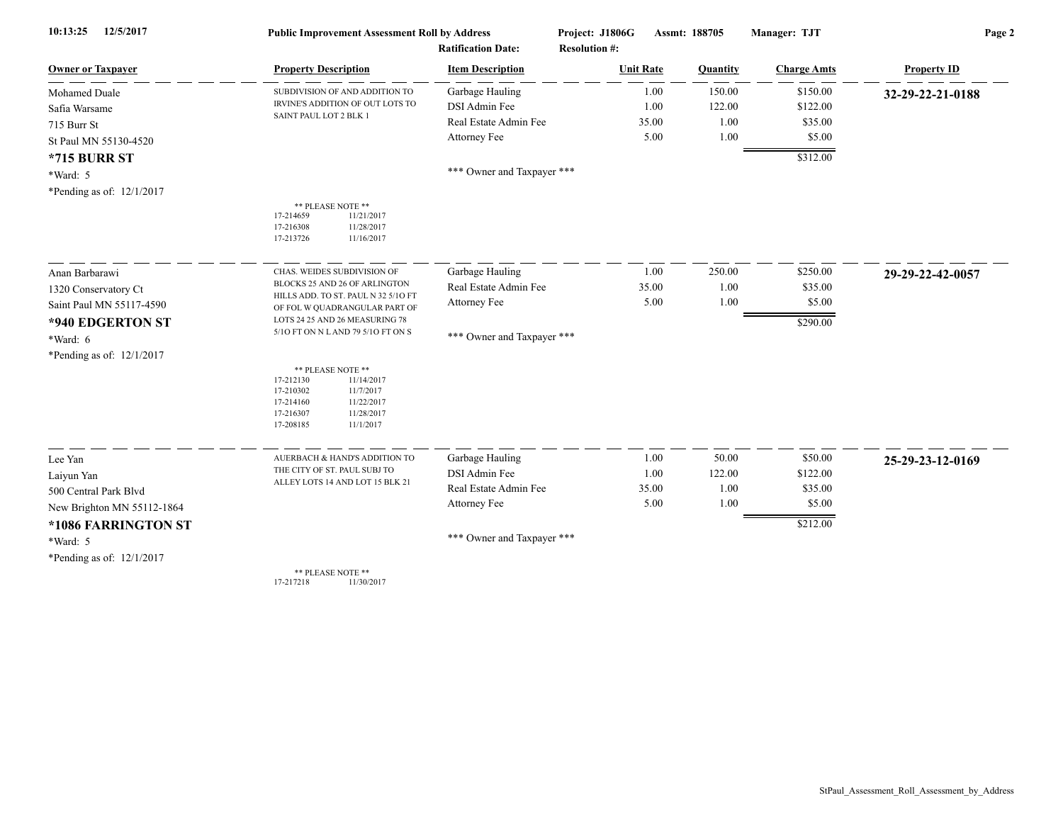| 12/5/2017<br>10:13:25       | <b>Public Improvement Assessment Roll by Address</b>                                                                                                   |                            | Project: J1806G<br>Assmt: 188705 |                 | Manager: TJT       | Page 2             |  |
|-----------------------------|--------------------------------------------------------------------------------------------------------------------------------------------------------|----------------------------|----------------------------------|-----------------|--------------------|--------------------|--|
|                             |                                                                                                                                                        | <b>Ratification Date:</b>  | <b>Resolution #:</b>             |                 |                    |                    |  |
| <b>Owner or Taxpayer</b>    | <b>Property Description</b>                                                                                                                            | <b>Item Description</b>    | <b>Unit Rate</b>                 | <b>Quantity</b> | <b>Charge Amts</b> | <b>Property ID</b> |  |
| Mohamed Duale               | SUBDIVISION OF AND ADDITION TO                                                                                                                         | Garbage Hauling            | 1.00                             | 150.00          | \$150.00           | 32-29-22-21-0188   |  |
| Safia Warsame               | IRVINE'S ADDITION OF OUT LOTS TO                                                                                                                       | DSI Admin Fee              | 1.00                             | 122.00          | \$122.00           |                    |  |
| 715 Burr St                 | SAINT PAUL LOT 2 BLK 1                                                                                                                                 | Real Estate Admin Fee      | 35.00                            | 1.00            | \$35.00            |                    |  |
| St Paul MN 55130-4520       |                                                                                                                                                        | Attorney Fee               | 5.00                             | 1.00            | \$5.00             |                    |  |
| <b>*715 BURR ST</b>         |                                                                                                                                                        |                            |                                  |                 | \$312.00           |                    |  |
| *Ward: 5                    |                                                                                                                                                        | *** Owner and Taxpayer *** |                                  |                 |                    |                    |  |
| *Pending as of: 12/1/2017   |                                                                                                                                                        |                            |                                  |                 |                    |                    |  |
|                             | ** PLEASE NOTE **<br>17-214659<br>11/21/2017<br>11/28/2017<br>17-216308<br>17-213726<br>11/16/2017                                                     |                            |                                  |                 |                    |                    |  |
| Anan Barbarawi              | CHAS. WEIDES SUBDIVISION OF                                                                                                                            | Garbage Hauling            | 1.00                             | 250.00          | \$250.00           | 29-29-22-42-0057   |  |
| 1320 Conservatory Ct        | BLOCKS 25 AND 26 OF ARLINGTON                                                                                                                          | Real Estate Admin Fee      | 35.00                            | 1.00            | \$35.00            |                    |  |
| Saint Paul MN 55117-4590    | HILLS ADD. TO ST. PAUL N 32 5/10 FT<br>OF FOL W QUADRANGULAR PART OF                                                                                   | Attorney Fee               | 5.00                             | 1.00            | \$5.00             |                    |  |
| *940 EDGERTON ST            | LOTS 24 25 AND 26 MEASURING 78                                                                                                                         |                            |                                  |                 | \$290.00           |                    |  |
| *Ward: 6                    | 5/10 FT ON N L AND 79 5/10 FT ON S                                                                                                                     | *** Owner and Taxpayer *** |                                  |                 |                    |                    |  |
| *Pending as of: $12/1/2017$ |                                                                                                                                                        |                            |                                  |                 |                    |                    |  |
|                             | ** PLEASE NOTE **<br>17-212130<br>11/14/2017<br>17-210302<br>11/7/2017<br>17-214160<br>11/22/2017<br>17-216307<br>11/28/2017<br>17-208185<br>11/1/2017 |                            |                                  |                 |                    |                    |  |
| Lee Yan                     | AUERBACH & HAND'S ADDITION TO                                                                                                                          | Garbage Hauling            | 1.00                             | 50.00           | \$50.00            | 25-29-23-12-0169   |  |
| Laiyun Yan                  | THE CITY OF ST. PAUL SUBJ TO                                                                                                                           | DSI Admin Fee              | 1.00                             | 122.00          | \$122.00           |                    |  |
| 500 Central Park Blvd       | ALLEY LOTS 14 AND LOT 15 BLK 21                                                                                                                        | Real Estate Admin Fee      | 35.00                            | 1.00            | \$35.00            |                    |  |
| New Brighton MN 55112-1864  |                                                                                                                                                        | Attorney Fee               | 5.00                             | 1.00            | \$5.00             |                    |  |
| *1086 FARRINGTON ST         |                                                                                                                                                        |                            |                                  |                 | \$212.00           |                    |  |
| *Ward: 5                    |                                                                                                                                                        | *** Owner and Taxpayer *** |                                  |                 |                    |                    |  |
| *Pending as of: $12/1/2017$ |                                                                                                                                                        |                            |                                  |                 |                    |                    |  |
|                             | ** PLEASE NOTE **                                                                                                                                      |                            |                                  |                 |                    |                    |  |

\*\* PLEASE NOTE \*\* 17-217218 11/30/2017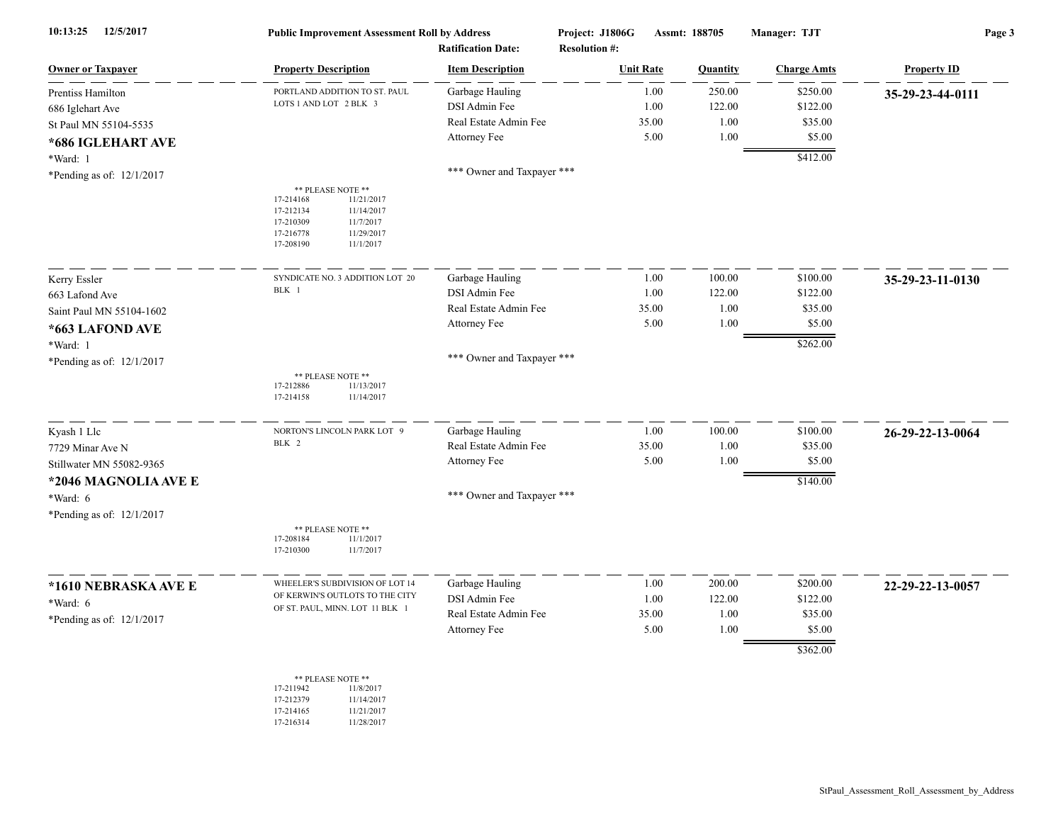| 10:13:25<br>12/5/2017       | <b>Public Improvement Assessment Roll by Address</b>                                                                                                   |                            | Project: J1806G<br>Assmt: 188705 |                  |          | Manager: TJT       | Page 3             |  |
|-----------------------------|--------------------------------------------------------------------------------------------------------------------------------------------------------|----------------------------|----------------------------------|------------------|----------|--------------------|--------------------|--|
|                             |                                                                                                                                                        | <b>Ratification Date:</b>  | <b>Resolution #:</b>             |                  |          |                    |                    |  |
| <b>Owner or Taxpayer</b>    | <b>Property Description</b>                                                                                                                            | <b>Item Description</b>    |                                  | <b>Unit Rate</b> | Quantity | <b>Charge Amts</b> | <b>Property ID</b> |  |
| Prentiss Hamilton           | PORTLAND ADDITION TO ST. PAUL<br>LOTS 1 AND LOT 2 BLK 3                                                                                                | Garbage Hauling            |                                  | 1.00             | 250.00   | \$250.00           | 35-29-23-44-0111   |  |
| 686 Iglehart Ave            |                                                                                                                                                        | DSI Admin Fee              |                                  | 1.00             | 122.00   | \$122.00           |                    |  |
| St Paul MN 55104-5535       |                                                                                                                                                        | Real Estate Admin Fee      |                                  | 35.00            | 1.00     | \$35.00            |                    |  |
| *686 IGLEHART AVE           |                                                                                                                                                        | Attorney Fee               |                                  | 5.00             | 1.00     | \$5.00             |                    |  |
| *Ward: 1                    |                                                                                                                                                        |                            |                                  |                  |          | \$412.00           |                    |  |
| *Pending as of: 12/1/2017   |                                                                                                                                                        | *** Owner and Taxpayer *** |                                  |                  |          |                    |                    |  |
|                             | ** PLEASE NOTE **<br>17-214168<br>11/21/2017<br>17-212134<br>11/14/2017<br>17-210309<br>11/7/2017<br>17-216778<br>11/29/2017<br>17-208190<br>11/1/2017 |                            |                                  |                  |          |                    |                    |  |
| Kerry Essler                | SYNDICATE NO. 3 ADDITION LOT 20                                                                                                                        | Garbage Hauling            |                                  | 1.00             | 100.00   | \$100.00           | 35-29-23-11-0130   |  |
| 663 Lafond Ave              | BLK 1                                                                                                                                                  | DSI Admin Fee              |                                  | 1.00             | 122.00   | \$122.00           |                    |  |
| Saint Paul MN 55104-1602    |                                                                                                                                                        | Real Estate Admin Fee      |                                  | 35.00            | $1.00\,$ | \$35.00            |                    |  |
| *663 LAFOND AVE             |                                                                                                                                                        | Attorney Fee               |                                  | 5.00             | 1.00     | \$5.00             |                    |  |
| *Ward: 1                    |                                                                                                                                                        |                            |                                  |                  |          | \$262.00           |                    |  |
| *Pending as of: $12/1/2017$ |                                                                                                                                                        | *** Owner and Taxpayer *** |                                  |                  |          |                    |                    |  |
|                             | ** PLEASE NOTE **<br>17-212886<br>11/13/2017<br>17-214158<br>11/14/2017                                                                                |                            |                                  |                  |          |                    |                    |  |
| Kyash 1 Llc                 | NORTON'S LINCOLN PARK LOT 9                                                                                                                            | Garbage Hauling            |                                  | 1.00             | 100.00   | \$100.00           | 26-29-22-13-0064   |  |
| 7729 Minar Ave N            | BLK 2                                                                                                                                                  | Real Estate Admin Fee      |                                  | 35.00            | 1.00     | \$35.00            |                    |  |
| Stillwater MN 55082-9365    |                                                                                                                                                        | Attorney Fee               |                                  | 5.00             | 1.00     | \$5.00             |                    |  |
| *2046 MAGNOLIA AVE E        |                                                                                                                                                        |                            |                                  |                  |          | \$140.00           |                    |  |
| *Ward: 6                    |                                                                                                                                                        | *** Owner and Taxpayer *** |                                  |                  |          |                    |                    |  |
| *Pending as of: 12/1/2017   |                                                                                                                                                        |                            |                                  |                  |          |                    |                    |  |
|                             | ** PLEASE NOTE **<br>17-208184<br>11/1/2017<br>17-210300<br>11/7/2017                                                                                  |                            |                                  |                  |          |                    |                    |  |
| *1610 NEBRASKA AVE E        | WHEELER'S SUBDIVISION OF LOT 14                                                                                                                        | Garbage Hauling            |                                  | 1.00             | 200.00   | \$200.00           | 22-29-22-13-0057   |  |
| *Ward: 6                    | OF KERWIN'S OUTLOTS TO THE CITY<br>OF ST. PAUL, MINN. LOT 11 BLK 1                                                                                     | DSI Admin Fee              |                                  | 1.00             | 122.00   | \$122.00           |                    |  |
| *Pending as of: $12/1/2017$ |                                                                                                                                                        | Real Estate Admin Fee      |                                  | 35.00            | 1.00     | \$35.00            |                    |  |
|                             |                                                                                                                                                        | Attorney Fee               |                                  | 5.00             | 1.00     | \$5.00             |                    |  |
|                             |                                                                                                                                                        |                            |                                  |                  |          | \$362.00           |                    |  |
|                             | ** PLEASE NOTE **<br>17-211942<br>11/8/2017<br>17-212379<br>11/14/2017                                                                                 |                            |                                  |                  |          |                    |                    |  |

17-214165 11/21/2017<br>17-216314 11/28/2017 11/28/2017